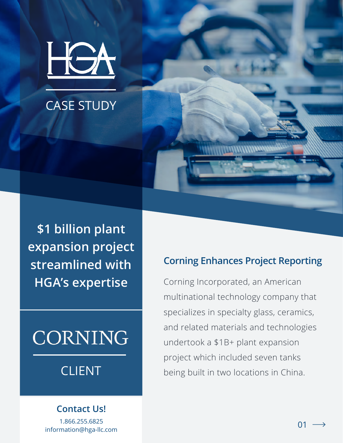

# CASE STUDY

**\$1 billion plant expansion project streamlined with HGA's expertise**

# CORNING

# CLIENT

#### **Contact Us!**

1.866.255.6825 information@hga-llc.com

#### **Corning Enhances Project Reporting**

Corning Incorporated, an American multinational technology company that specializes in specialty glass, ceramics, and related materials and technologies undertook a \$1B+ plant expansion project which included seven tanks being built in two locations in China.

 $01 -$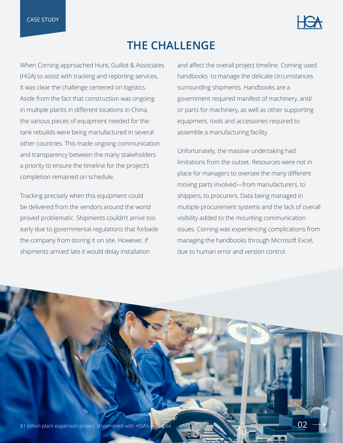

### **THE CHALLENGE**

When Corning approached Hunt, Guillot & Associates (HGA) to assist with tracking and reporting services, it was clear the challenge centered on logistics. Aside from the fact that construction was ongoing in multiple plants in different locations in China, the various pieces of equipment needed for the tank rebuilds were being manufactured in several other countries. This made ongoing communication and transparency between the many stakeholders a priority to ensure the timeline for the project's completion remained on schedule.

Tracking precisely when this equipment could be delivered from the vendors around the world proved problematic. Shipments couldn't arrive too early due to governmental regulations that forbade the company from storing it on site. However, if shipments arrived late it would delay installation

and affect the overall project timeline. Corning used handbooks to manage the delicate circumstances surrounding shipments. Handbooks are a government required manifest of machinery, and/ or parts for machinery, as well as other supporting equipment, tools and accessories required to assemble a manufacturing facility.

Unfortunately, the massive undertaking had limitations from the outset. Resources were not in place for managers to oversee the many different moving parts involved—from manufacturers, to shippers, to procurers. Data being managed in multiple procurement systems and the lack of overall visibility added to the mounting communication issues. Corning was experiencing complications from managing the handbooks through Microsoft Excel, due to human error and version control.

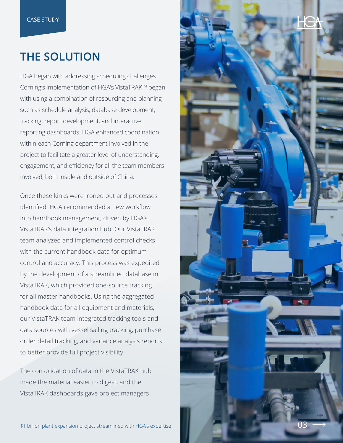## **THE SOLUTION**

HGA began with addressing scheduling challenges. Corning's implementation of HGA's VistaTRAKTM began with using a combination of resourcing and planning such as schedule analysis, database development, tracking, report development, and interactive reporting dashboards. HGA enhanced coordination within each Corning department involved in the project to facilitate a greater level of understanding, engagement, and efficiency for all the team members involved, both inside and outside of China.

Once these kinks were ironed out and processes identified, HGA recommended a new workflow into handbook management, driven by HGA's VistaTRAK's data integration hub. Our VistaTRAK team analyzed and implemented control checks with the current handbook data for optimum control and accuracy. This process was expedited by the development of a streamlined database in VistaTRAK, which provided one-source tracking for all master handbooks. Using the aggregated handbook data for all equipment and materials, our VistaTRAK team integrated tracking tools and data sources with vessel sailing tracking, purchase order detail tracking, and variance analysis reports to better provide full project visibility.

The consolidation of data in the VistaTRAK hub made the material easier to digest, and the VistaTRAK dashboards gave project managers

\$1 billion plant expansion project streamlined with HGA's expertise